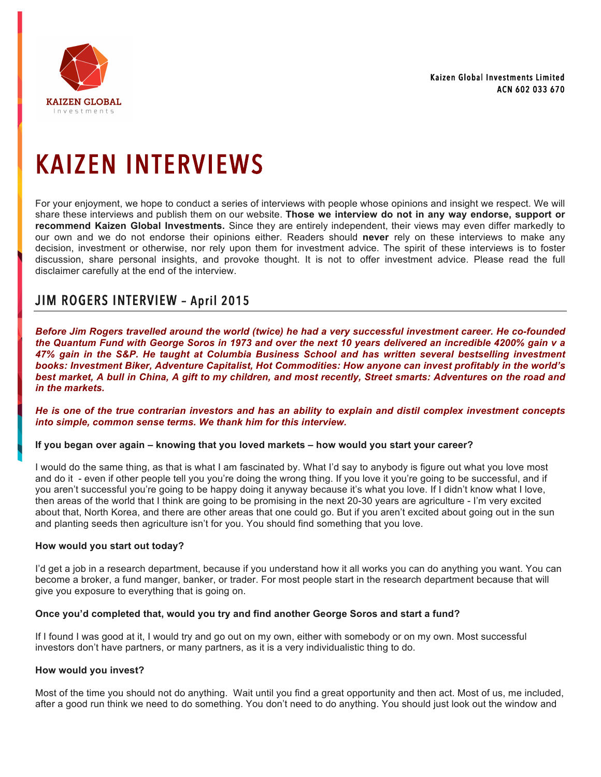

# KAIZEN INTERVIEWS

For your enjoyment, we hope to conduct a series of interviews with people whose opinions and insight we respect. We will share these interviews and publish them on our website. **Those we interview do not in any way endorse, support or recommend Kaizen Global Investments.** Since they are entirely independent, their views may even differ markedly to our own and we do not endorse their opinions either. Readers should **never** rely on these interviews to make any decision, investment or otherwise, nor rely upon them for investment advice. The spirit of these interviews is to foster discussion, share personal insights, and provoke thought. It is not to offer investment advice. Please read the full disclaimer carefully at the end of the interview.

# JIM ROGERS INTERVIEW – April 2015

*Before Jim Rogers travelled around the world (twice) he had a very successful investment career. He co-founded the Quantum Fund with George Soros in 1973 and over the next 10 years delivered an incredible 4200% gain v a 47% gain in the S&P. He taught at Columbia Business School and has written several bestselling investment books: Investment Biker, Adventure Capitalist, Hot Commodities: How anyone can invest profitably in the world's best market, A bull in China, A gift to my children, and most recently, Street smarts: Adventures on the road and in the markets.* 

*He is one of the true contrarian investors and has an ability to explain and distil complex investment concepts into simple, common sense terms. We thank him for this interview.* 

#### **If you began over again – knowing that you loved markets – how would you start your career?**

I would do the same thing, as that is what I am fascinated by. What I'd say to anybody is figure out what you love most and do it - even if other people tell you you're doing the wrong thing. If you love it you're going to be successful, and if you aren't successful you're going to be happy doing it anyway because it's what you love. If I didn't know what I love, then areas of the world that I think are going to be promising in the next 20-30 years are agriculture - I'm very excited about that, North Korea, and there are other areas that one could go. But if you aren't excited about going out in the sun and planting seeds then agriculture isn't for you. You should find something that you love.

#### **How would you start out today?**

I'd get a job in a research department, because if you understand how it all works you can do anything you want. You can become a broker, a fund manger, banker, or trader. For most people start in the research department because that will give you exposure to everything that is going on.

#### **Once you'd completed that, would you try and find another George Soros and start a fund?**

If I found I was good at it, I would try and go out on my own, either with somebody or on my own. Most successful investors don't have partners, or many partners, as it is a very individualistic thing to do.

#### **How would you invest?**

Most of the time you should not do anything. Wait until you find a great opportunity and then act. Most of us, me included, after a good run think we need to do something. You don't need to do anything. You should just look out the window and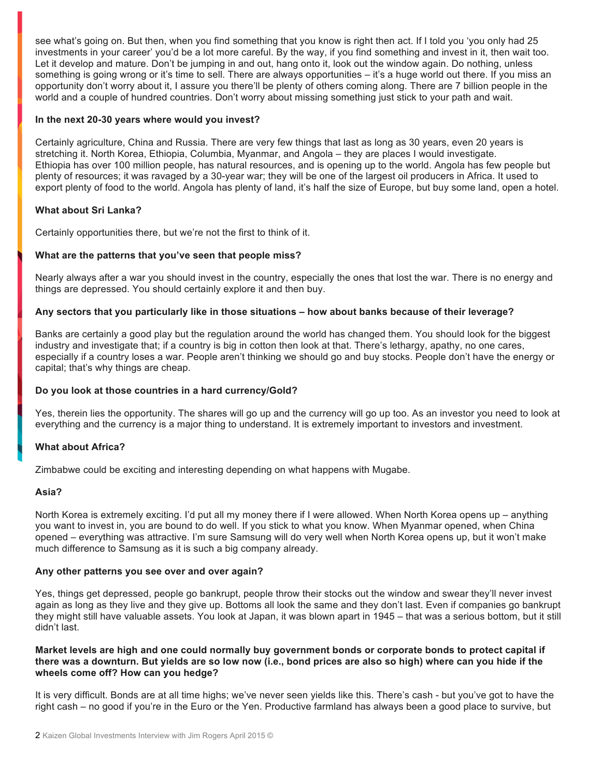see what's going on. But then, when you find something that you know is right then act. If I told you 'you only had 25 investments in your career' you'd be a lot more careful. By the way, if you find something and invest in it, then wait too. Let it develop and mature. Don't be jumping in and out, hang onto it, look out the window again. Do nothing, unless something is going wrong or it's time to sell. There are always opportunities – it's a huge world out there. If you miss an opportunity don't worry about it, I assure you there'll be plenty of others coming along. There are 7 billion people in the world and a couple of hundred countries. Don't worry about missing something just stick to your path and wait.

#### **In the next 20-30 years where would you invest?**

Certainly agriculture, China and Russia. There are very few things that last as long as 30 years, even 20 years is stretching it. North Korea, Ethiopia, Columbia, Myanmar, and Angola – they are places I would investigate. Ethiopia has over 100 million people, has natural resources, and is opening up to the world. Angola has few people but plenty of resources; it was ravaged by a 30-year war; they will be one of the largest oil producers in Africa. It used to export plenty of food to the world. Angola has plenty of land, it's half the size of Europe, but buy some land, open a hotel.

#### **What about Sri Lanka?**

Certainly opportunities there, but we're not the first to think of it.

## **What are the patterns that you've seen that people miss?**

Nearly always after a war you should invest in the country, especially the ones that lost the war. There is no energy and things are depressed. You should certainly explore it and then buy.

#### **Any sectors that you particularly like in those situations – how about banks because of their leverage?**

Banks are certainly a good play but the regulation around the world has changed them. You should look for the biggest industry and investigate that; if a country is big in cotton then look at that. There's lethargy, apathy, no one cares, especially if a country loses a war. People aren't thinking we should go and buy stocks. People don't have the energy or capital; that's why things are cheap.

#### **Do you look at those countries in a hard currency/Gold?**

Yes, therein lies the opportunity. The shares will go up and the currency will go up too. As an investor you need to look at everything and the currency is a major thing to understand. It is extremely important to investors and investment.

#### **What about Africa?**

Zimbabwe could be exciting and interesting depending on what happens with Mugabe.

#### **Asia?**

North Korea is extremely exciting. I'd put all my money there if I were allowed. When North Korea opens up – anything you want to invest in, you are bound to do well. If you stick to what you know. When Myanmar opened, when China opened – everything was attractive. I'm sure Samsung will do very well when North Korea opens up, but it won't make much difference to Samsung as it is such a big company already.

#### **Any other patterns you see over and over again?**

Yes, things get depressed, people go bankrupt, people throw their stocks out the window and swear they'll never invest again as long as they live and they give up. Bottoms all look the same and they don't last. Even if companies go bankrupt they might still have valuable assets. You look at Japan, it was blown apart in 1945 – that was a serious bottom, but it still didn't last.

#### **Market levels are high and one could normally buy government bonds or corporate bonds to protect capital if there was a downturn. But yields are so low now (i.e., bond prices are also so high) where can you hide if the wheels come off? How can you hedge?**

It is very difficult. Bonds are at all time highs; we've never seen yields like this. There's cash - but you've got to have the right cash – no good if you're in the Euro or the Yen. Productive farmland has always been a good place to survive, but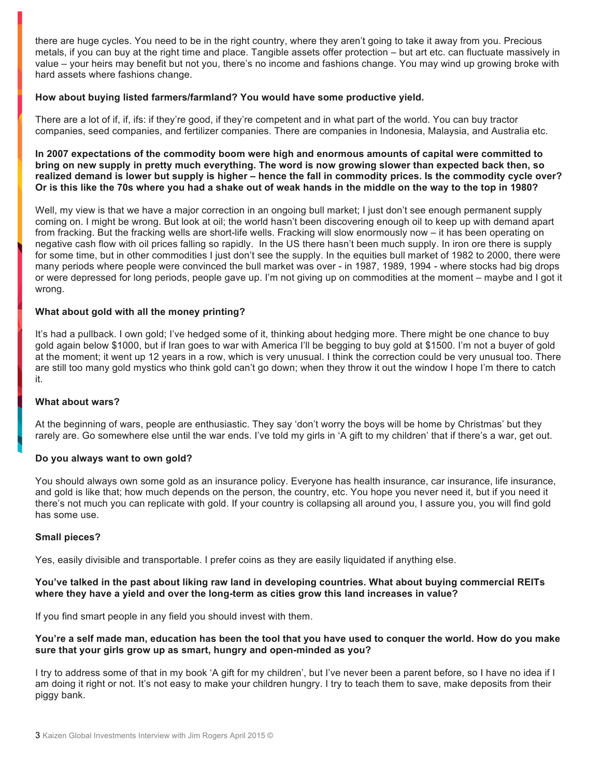there are huge cycles. You need to be in the right country, where they aren't going to take it away from you. Precious metals, if you can buy at the right time and place. Tangible assets offer protection – but art etc. can fluctuate massively in value – your heirs may benefit but not you, there's no income and fashions change. You may wind up growing broke with hard assets where fashions change.

## **How about buying listed farmers/farmland? You would have some productive yield.**

There are a lot of if, if, ifs: if they're good, if they're competent and in what part of the world. You can buy tractor companies, seed companies, and fertilizer companies. There are companies in Indonesia, Malaysia, and Australia etc.

**In 2007 expectations of the commodity boom were high and enormous amounts of capital were committed to bring on new supply in pretty much everything. The word is now growing slower than expected back then, so realized demand is lower but supply is higher – hence the fall in commodity prices. Is the commodity cycle over? Or is this like the 70s where you had a shake out of weak hands in the middle on the way to the top in 1980?** 

Well, my view is that we have a major correction in an ongoing bull market; I just don't see enough permanent supply coming on. I might be wrong. But look at oil; the world hasn't been discovering enough oil to keep up with demand apart from fracking. But the fracking wells are short-life wells. Fracking will slow enormously now – it has been operating on negative cash flow with oil prices falling so rapidly. In the US there hasn't been much supply. In iron ore there is supply for some time, but in other commodities I just don't see the supply. In the equities bull market of 1982 to 2000, there were many periods where people were convinced the bull market was over - in 1987, 1989, 1994 - where stocks had big drops or were depressed for long periods, people gave up. I'm not giving up on commodities at the moment – maybe and I got it wrong.

## **What about gold with all the money printing?**

It's had a pullback. I own gold; I've hedged some of it, thinking about hedging more. There might be one chance to buy gold again below \$1000, but if Iran goes to war with America I'll be begging to buy gold at \$1500. I'm not a buyer of gold at the moment; it went up 12 years in a row, which is very unusual. I think the correction could be very unusual too. There are still too many gold mystics who think gold can't go down; when they throw it out the window I hope I'm there to catch it.

#### **What about wars?**

At the beginning of wars, people are enthusiastic. They say 'don't worry the boys will be home by Christmas' but they rarely are. Go somewhere else until the war ends. I've told my girls in 'A gift to my children' that if there's a war, get out.

#### **Do you always want to own gold?**

You should always own some gold as an insurance policy. Everyone has health insurance, car insurance, life insurance, and gold is like that; how much depends on the person, the country, etc. You hope you never need it, but if you need it there's not much you can replicate with gold. If your country is collapsing all around you, I assure you, you will find gold has some use.

#### **Small pieces?**

Yes, easily divisible and transportable. I prefer coins as they are easily liquidated if anything else.

#### **You've talked in the past about liking raw land in developing countries. What about buying commercial REITs where they have a yield and over the long-term as cities grow this land increases in value?**

If you find smart people in any field you should invest with them.

#### **You're a self made man, education has been the tool that you have used to conquer the world. How do you make sure that your girls grow up as smart, hungry and open-minded as you?**

I try to address some of that in my book 'A gift for my children', but I've never been a parent before, so I have no idea if I am doing it right or not. It's not easy to make your children hungry. I try to teach them to save, make deposits from their piggy bank.